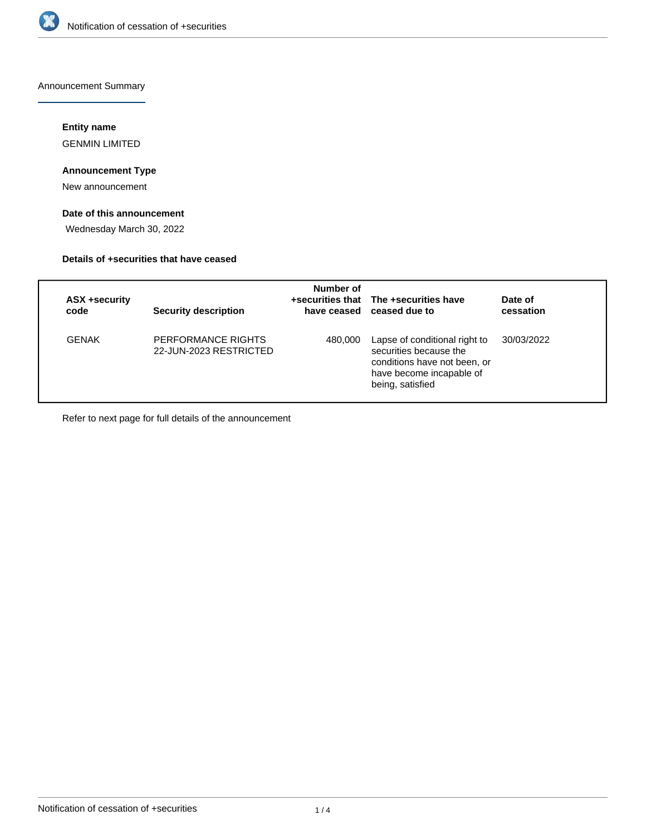

Announcement Summary

# **Entity name**

GENMIN LIMITED

# **Announcement Type**

New announcement

# **Date of this announcement**

Wednesday March 30, 2022

# **Details of +securities that have ceased**

| ASX +security<br>code | <b>Security description</b>                  | Number of | +securities that The +securities have<br>have ceased ceased due to                                                                      | Date of<br>cessation |
|-----------------------|----------------------------------------------|-----------|-----------------------------------------------------------------------------------------------------------------------------------------|----------------------|
| GENAK                 | PERFORMANCE RIGHTS<br>22-JUN-2023 RESTRICTED | 480,000   | Lapse of conditional right to<br>securities because the<br>conditions have not been, or<br>have become incapable of<br>being, satisfied | 30/03/2022           |

Refer to next page for full details of the announcement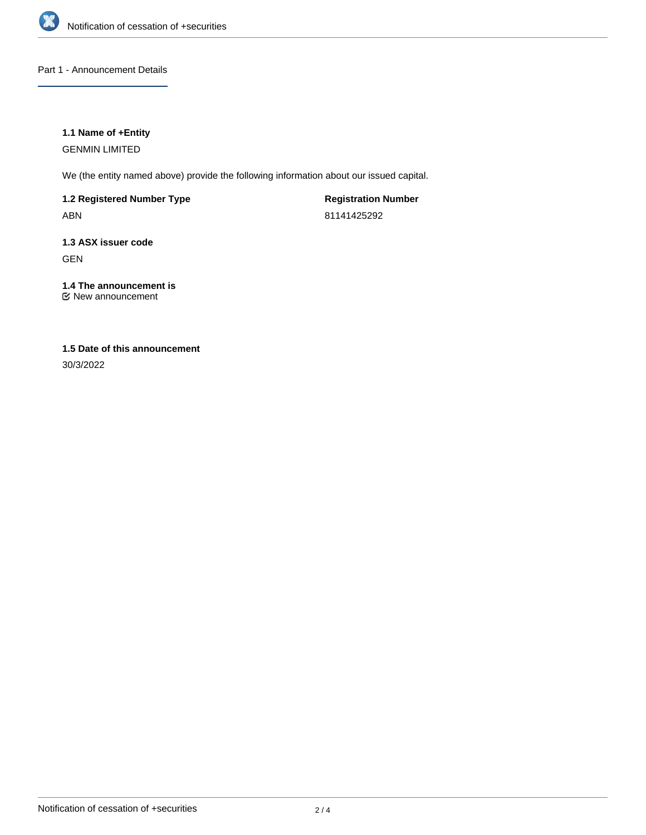

# Part 1 - Announcement Details

# **1.1 Name of +Entity**

GENMIN LIMITED

We (the entity named above) provide the following information about our issued capital.

**1.2 Registered Number Type** ABN

**Registration Number** 81141425292

**1.3 ASX issuer code** GEN

### **1.4 The announcement is** New announcement

# **1.5 Date of this announcement**

30/3/2022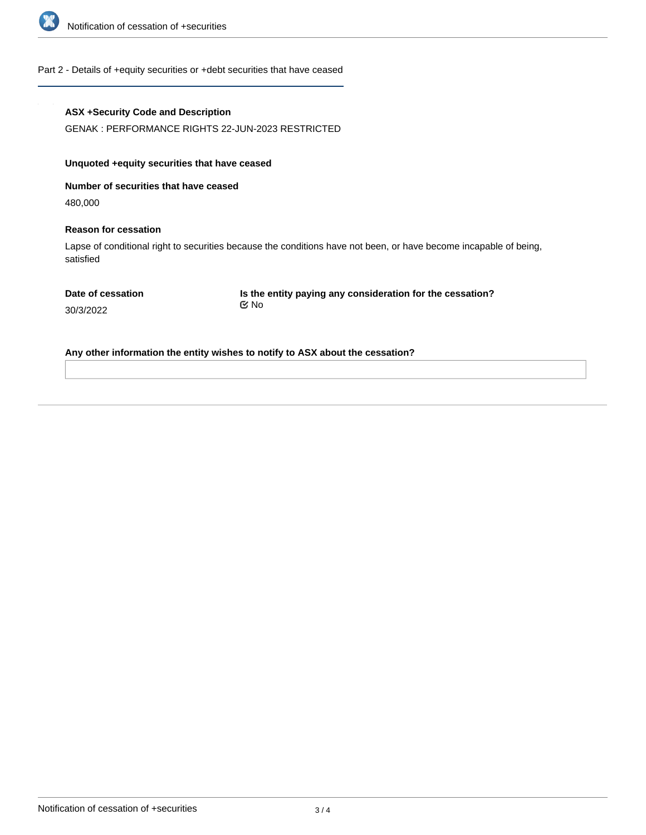

### Part 2 - Details of +equity securities or +debt securities that have ceased

### **ASX +Security Code and Description**

GENAK : PERFORMANCE RIGHTS 22-JUN-2023 RESTRICTED

### **Unquoted +equity securities that have ceased**

**Number of securities that have ceased**

480,000

#### **Reason for cessation**

Lapse of conditional right to securities because the conditions have not been, or have become incapable of being, satisfied

**Is the entity paying any consideration for the cessation?** No

30/3/2022

**Any other information the entity wishes to notify to ASX about the cessation?**